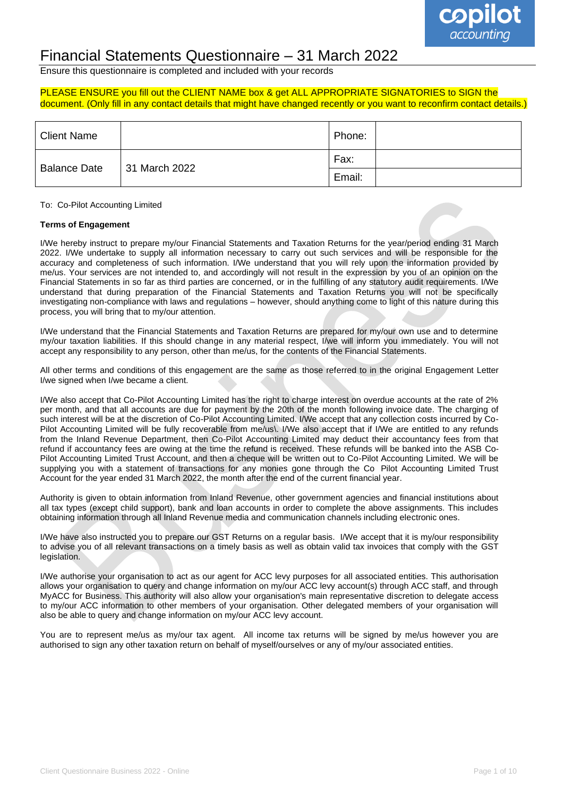

## Financial Statements Questionnaire – 31 March 2022

Ensure this questionnaire is completed and included with your records

#### PLEASE ENSURE you fill out the CLIENT NAME box & get ALL APPROPRIATE SIGNATORIES to SIGN the document. (Only fill in any contact details that might have changed recently or you want to reconfirm contact details.)

| Client Name         |               | Phone: |  |
|---------------------|---------------|--------|--|
| <b>Balance Date</b> | 31 March 2022 | Fax:   |  |
|                     |               | Email: |  |

To: Co-Pilot Accounting Limited

#### **Terms of Engagement**

I/We hereby instruct to prepare my/our Financial Statements and Taxation Returns for the year/period ending 31 March 2022. I/We undertake to supply all information necessary to carry out such services and will be responsible for the accuracy and completeness of such information. I/We understand that you will rely upon the information provided by me/us. Your services are not intended to, and accordingly will not result in the expression by you of an opinion on the Financial Statements in so far as third parties are concerned, or in the fulfilling of any statutory audit requirements. I/We understand that during preparation of the Financial Statements and Taxation Returns you will not be specifically investigating non-compliance with laws and regulations – however, should anything come to light of this nature during this process, you will bring that to my/our attention.

I/We understand that the Financial Statements and Taxation Returns are prepared for my/our own use and to determine my/our taxation liabilities. If this should change in any material respect, I/we will inform you immediately. You will not accept any responsibility to any person, other than me/us, for the contents of the Financial Statements.

All other terms and conditions of this engagement are the same as those referred to in the original Engagement Letter I/we signed when I/we became a client.

I/We also accept that Co-Pilot Accounting Limited has the right to charge interest on overdue accounts at the rate of 2% per month, and that all accounts are due for payment by the 20th of the month following invoice date. The charging of such interest will be at the discretion of Co-Pilot Accounting Limited. I/We accept that any collection costs incurred by Co-Pilot Accounting Limited will be fully recoverable from me/us\. I/We also accept that if I/We are entitled to any refunds from the Inland Revenue Department, then Co-Pilot Accounting Limited may deduct their accountancy fees from that refund if accountancy fees are owing at the time the refund is received. These refunds will be banked into the ASB Co-Pilot Accounting Limited Trust Account, and then a cheque will be written out to Co-Pilot Accounting Limited. We will be supplying you with a statement of transactions for any monies gone through the Co Pilot Accounting Limited Trust Account for the year ended 31 March 2022, the month after the end of the current financial year.

Authority is given to obtain information from Inland Revenue, other government agencies and financial institutions about all tax types (except child support), bank and loan accounts in order to complete the above assignments. This includes obtaining information through all Inland Revenue media and communication channels including electronic ones.

I/We have also instructed you to prepare our GST Returns on a regular basis. I/We accept that it is my/our responsibility to advise you of all relevant transactions on a timely basis as well as obtain valid tax invoices that comply with the GST legislation.

I/We authorise your organisation to act as our agent for ACC levy purposes for all associated entities. This authorisation allows your organisation to query and change information on my/our ACC levy account(s) through ACC staff, and through MyACC for Business. This authority will also allow your organisation's main representative discretion to delegate access to my/our ACC information to other members of your organisation. Other delegated members of your organisation will also be able to query and change information on my/our ACC levy account.

You are to represent me/us as my/our tax agent. All income tax returns will be signed by me/us however you are authorised to sign any other taxation return on behalf of myself/ourselves or any of my/our associated entities.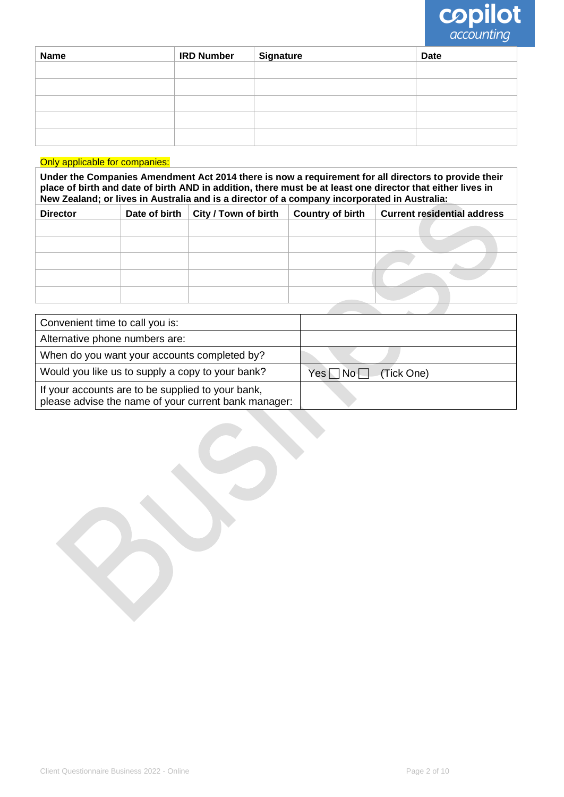

| <b>Name</b> | <b>IRD Number</b> | <b>Signature</b> | <b>Date</b> |
|-------------|-------------------|------------------|-------------|
|             |                   |                  |             |
|             |                   |                  |             |
|             |                   |                  |             |
|             |                   |                  |             |
|             |                   |                  |             |

#### Only applicable for companies:

**Under the Companies Amendment Act 2014 there is now a requirement for all directors to provide their place of birth and date of birth AND in addition, there must be at least one director that either lives in New Zealand; or lives in Australia and is a director of a company incorporated in Australia:**

| <b>Director</b> | Date of birth | City / Town of birth | <b>Country of birth</b> | <b>Current residential address</b> |
|-----------------|---------------|----------------------|-------------------------|------------------------------------|
|                 |               |                      |                         |                                    |
|                 |               |                      |                         |                                    |
|                 |               |                      |                         |                                    |
|                 |               |                      |                         |                                    |
|                 |               |                      |                         |                                    |

| Convenient time to call you is:                                                                           |                               |
|-----------------------------------------------------------------------------------------------------------|-------------------------------|
| Alternative phone numbers are:                                                                            |                               |
| When do you want your accounts completed by?                                                              |                               |
| Would you like us to supply a copy to your bank?                                                          | $Yes \Box No \Box$ (Tick One) |
| If your accounts are to be supplied to your bank,<br>please advise the name of your current bank manager: |                               |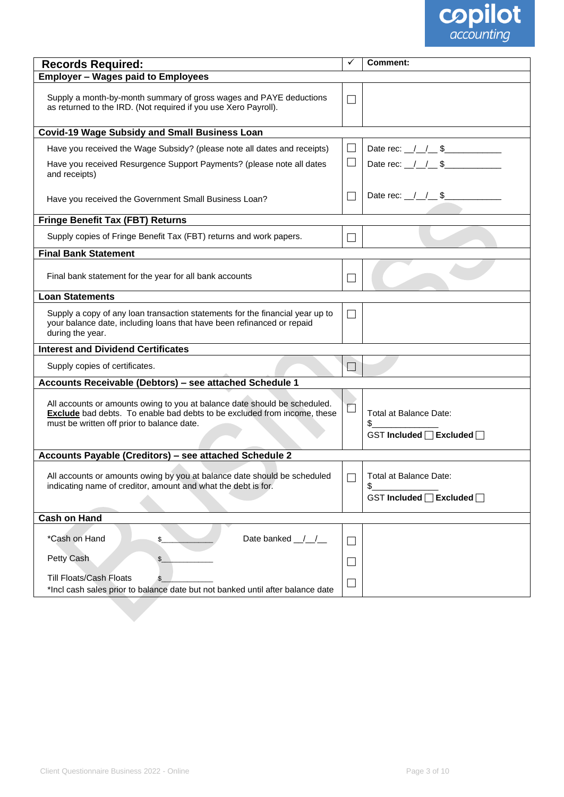

| <b>Records Required:</b>                                                                                                                                                                                   | ✓                        | Comment:                                                   |
|------------------------------------------------------------------------------------------------------------------------------------------------------------------------------------------------------------|--------------------------|------------------------------------------------------------|
| <b>Employer - Wages paid to Employees</b>                                                                                                                                                                  |                          |                                                            |
| Supply a month-by-month summary of gross wages and PAYE deductions<br>as returned to the IRD. (Not required if you use Xero Payroll).                                                                      | П                        |                                                            |
| <b>Covid-19 Wage Subsidy and Small Business Loan</b>                                                                                                                                                       |                          |                                                            |
| Have you received the Wage Subsidy? (please note all dates and receipts)                                                                                                                                   | $\Box$                   | Date rec: $1/2$ \$                                         |
| Have you received Resurgence Support Payments? (please note all dates<br>and receipts)                                                                                                                     | ப                        | Date rec: $1/1$ \$                                         |
| Have you received the Government Small Business Loan?                                                                                                                                                      |                          | Date rec: $1/1$ \$                                         |
| <b>Fringe Benefit Tax (FBT) Returns</b>                                                                                                                                                                    |                          |                                                            |
| Supply copies of Fringe Benefit Tax (FBT) returns and work papers.                                                                                                                                         | $\overline{\phantom{a}}$ |                                                            |
| <b>Final Bank Statement</b>                                                                                                                                                                                |                          |                                                            |
| Final bank statement for the year for all bank accounts                                                                                                                                                    | $\Box$                   |                                                            |
| <b>Loan Statements</b>                                                                                                                                                                                     |                          |                                                            |
| Supply a copy of any loan transaction statements for the financial year up to<br>your balance date, including loans that have been refinanced or repaid<br>during the year.                                | П                        |                                                            |
| <b>Interest and Dividend Certificates</b>                                                                                                                                                                  |                          |                                                            |
| Supply copies of certificates.                                                                                                                                                                             |                          |                                                            |
| Accounts Receivable (Debtors) - see attached Schedule 1                                                                                                                                                    |                          |                                                            |
| All accounts or amounts owing to you at balance date should be scheduled.<br><b>Exclude</b> bad debts. To enable bad debts to be excluded from income, these<br>must be written off prior to balance date. | $\overline{\phantom{a}}$ | Total at Balance Date:<br>\$<br>GST Included □ Excluded □  |
| Accounts Payable (Creditors) - see attached Schedule 2                                                                                                                                                     |                          |                                                            |
| All accounts or amounts owing by you at balance date should be scheduled<br>indicating name of creditor, amount and what the debt is for.                                                                  | $\Box$                   | Total at Balance Date:<br>\$.<br>GST Included □ Excluded □ |
| <b>Cash on Hand</b>                                                                                                                                                                                        |                          |                                                            |
| *Cash on Hand<br>Date banked ///<br>\$                                                                                                                                                                     | $\vert \ \ \vert$        |                                                            |
| Petty Cash<br>$\mathcal{L}_{\mathcal{L}}$                                                                                                                                                                  | $\overline{\phantom{0}}$ |                                                            |
| <b>Till Floats/Cash Floats</b><br>*Incl cash sales prior to balance date but not banked until after balance date                                                                                           | $\overline{\phantom{a}}$ |                                                            |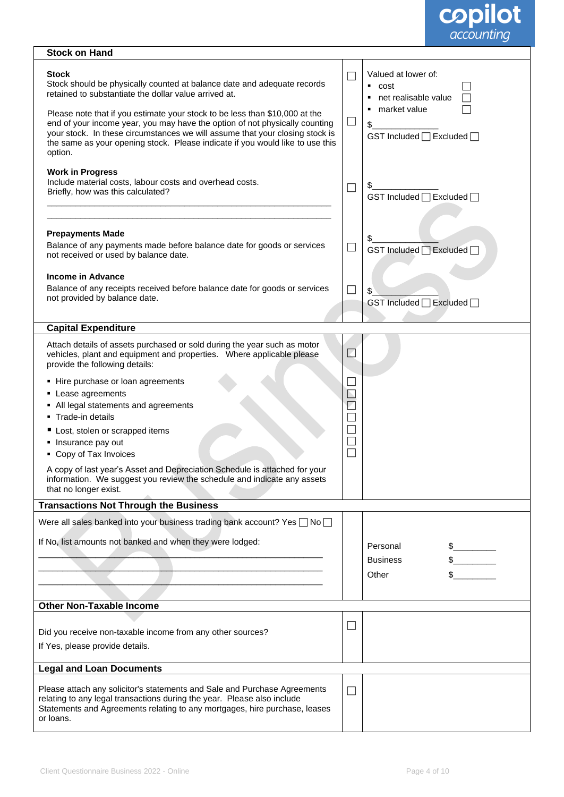

| <b>Stock on Hand</b>                                                                                                                                                                                                                                                                                                                                                                                                                                                                                                                                                                                                   |                                                 |                                                                                                                                                                        |
|------------------------------------------------------------------------------------------------------------------------------------------------------------------------------------------------------------------------------------------------------------------------------------------------------------------------------------------------------------------------------------------------------------------------------------------------------------------------------------------------------------------------------------------------------------------------------------------------------------------------|-------------------------------------------------|------------------------------------------------------------------------------------------------------------------------------------------------------------------------|
| <b>Stock</b><br>Stock should be physically counted at balance date and adequate records<br>retained to substantiate the dollar value arrived at.<br>Please note that if you estimate your stock to be less than \$10,000 at the<br>end of your income year, you may have the option of not physically counting<br>your stock. In these circumstances we will assume that your closing stock is<br>the same as your opening stock. Please indicate if you would like to use this<br>option.<br><b>Work in Progress</b><br>Include material costs, labour costs and overhead costs.<br>Briefly, how was this calculated? | $\Box$<br>$\Box$<br>$\mathcal{L}_{\mathcal{A}}$ | Valued at lower of:<br>$\overline{\phantom{a}}$ cost<br>• net realisable value<br>• market value<br>\$<br>GST Included □ Excluded □<br>\$<br>GST Included □ Excluded □ |
| <b>Prepayments Made</b><br>Balance of any payments made before balance date for goods or services<br>not received or used by balance date.<br><b>Income in Advance</b><br>Balance of any receipts received before balance date for goods or services<br>not provided by balance date.                                                                                                                                                                                                                                                                                                                                  | $\mathcal{L}_{\mathcal{A}}$<br>$\Box$           | \$<br>GST Included   Excluded  <br>\$<br>GST Included □ Excluded □                                                                                                     |
| <b>Capital Expenditure</b>                                                                                                                                                                                                                                                                                                                                                                                                                                                                                                                                                                                             |                                                 |                                                                                                                                                                        |
| Attach details of assets purchased or sold during the year such as motor<br>vehicles, plant and equipment and properties. Where applicable please<br>provide the following details:                                                                                                                                                                                                                                                                                                                                                                                                                                    | $\Box$                                          |                                                                                                                                                                        |
| • Hire purchase or loan agreements<br>• Lease agreements<br>• All legal statements and agreements<br>Trade-in details<br>Lost, stolen or scrapped items<br>Insurance pay out<br>• Copy of Tax Invoices<br>A copy of last year's Asset and Depreciation Schedule is attached for your<br>information. We suggest you review the schedule and indicate any assets                                                                                                                                                                                                                                                        | N                                               |                                                                                                                                                                        |
| that no longer exist.                                                                                                                                                                                                                                                                                                                                                                                                                                                                                                                                                                                                  |                                                 |                                                                                                                                                                        |
| <b>Transactions Not Through the Business</b>                                                                                                                                                                                                                                                                                                                                                                                                                                                                                                                                                                           |                                                 |                                                                                                                                                                        |
| Were all sales banked into your business trading bank account? Yes □ No<br>If No, list amounts not banked and when they were lodged:                                                                                                                                                                                                                                                                                                                                                                                                                                                                                   |                                                 | Personal<br><b>Business</b><br>Other                                                                                                                                   |
| <b>Other Non-Taxable Income</b>                                                                                                                                                                                                                                                                                                                                                                                                                                                                                                                                                                                        |                                                 |                                                                                                                                                                        |
| Did you receive non-taxable income from any other sources?<br>If Yes, please provide details.                                                                                                                                                                                                                                                                                                                                                                                                                                                                                                                          | ⊔                                               |                                                                                                                                                                        |
| <b>Legal and Loan Documents</b>                                                                                                                                                                                                                                                                                                                                                                                                                                                                                                                                                                                        |                                                 |                                                                                                                                                                        |
| Please attach any solicitor's statements and Sale and Purchase Agreements<br>relating to any legal transactions during the year. Please also include<br>Statements and Agreements relating to any mortgages, hire purchase, leases<br>or loans.                                                                                                                                                                                                                                                                                                                                                                        | $\Box$                                          |                                                                                                                                                                        |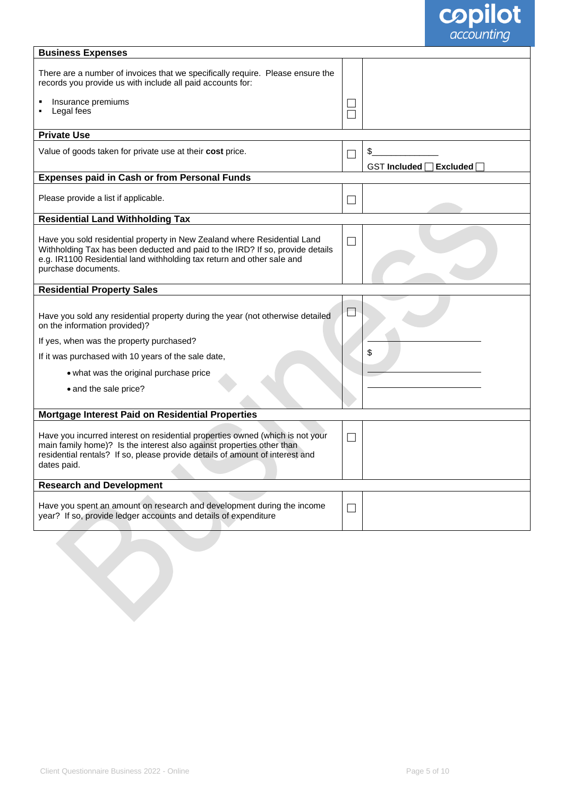

| <b>Business Expenses</b>                                                                                                                                                                                                                                   |        |                                               |
|------------------------------------------------------------------------------------------------------------------------------------------------------------------------------------------------------------------------------------------------------------|--------|-----------------------------------------------|
| There are a number of invoices that we specifically require. Please ensure the<br>records you provide us with include all paid accounts for:                                                                                                               |        |                                               |
| Insurance premiums<br>Legal fees                                                                                                                                                                                                                           |        |                                               |
| <b>Private Use</b>                                                                                                                                                                                                                                         |        |                                               |
| Value of goods taken for private use at their cost price.                                                                                                                                                                                                  |        | \$.<br><b>GST Included</b><br><b>Excluded</b> |
| <b>Expenses paid in Cash or from Personal Funds</b>                                                                                                                                                                                                        |        |                                               |
| Please provide a list if applicable.                                                                                                                                                                                                                       |        |                                               |
| <b>Residential Land Withholding Tax</b>                                                                                                                                                                                                                    |        |                                               |
| Have you sold residential property in New Zealand where Residential Land<br>Withholding Tax has been deducted and paid to the IRD? If so, provide details<br>e.g. IR1100 Residential land withholding tax return and other sale and<br>purchase documents. | $\Box$ |                                               |
| <b>Residential Property Sales</b>                                                                                                                                                                                                                          |        |                                               |
| Have you sold any residential property during the year (not otherwise detailed<br>on the information provided)?                                                                                                                                            |        |                                               |
| If yes, when was the property purchased?                                                                                                                                                                                                                   |        |                                               |
| If it was purchased with 10 years of the sale date,                                                                                                                                                                                                        |        | \$                                            |
| • what was the original purchase price                                                                                                                                                                                                                     |        |                                               |
| • and the sale price?                                                                                                                                                                                                                                      |        |                                               |
| Mortgage Interest Paid on Residential Properties                                                                                                                                                                                                           |        |                                               |
| Have you incurred interest on residential properties owned (which is not your<br>main family home)? Is the interest also against properties other than<br>residential rentals? If so, please provide details of amount of interest and<br>dates paid.      |        |                                               |
| <b>Research and Development</b>                                                                                                                                                                                                                            |        |                                               |
| Have you spent an amount on research and development during the income<br>year? If so, provide ledger accounts and details of expenditure                                                                                                                  | $\Box$ |                                               |
|                                                                                                                                                                                                                                                            |        |                                               |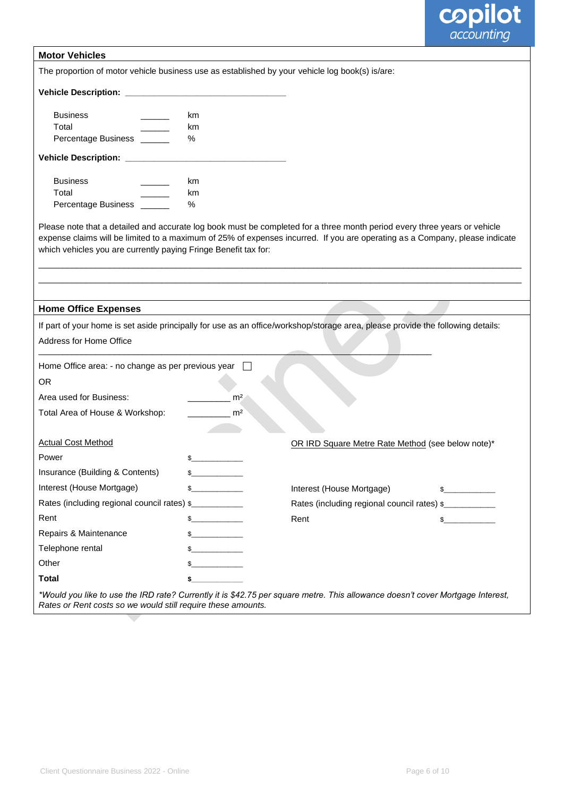

| <b>Motor Vehicles</b>                                                                                                                                                                                                                                                                                                       |                                       |                |                                                   |               |
|-----------------------------------------------------------------------------------------------------------------------------------------------------------------------------------------------------------------------------------------------------------------------------------------------------------------------------|---------------------------------------|----------------|---------------------------------------------------|---------------|
| The proportion of motor vehicle business use as established by your vehicle log book(s) is/are:                                                                                                                                                                                                                             |                                       |                |                                                   |               |
|                                                                                                                                                                                                                                                                                                                             |                                       |                |                                                   |               |
|                                                                                                                                                                                                                                                                                                                             |                                       |                |                                                   |               |
| <b>Business</b>                                                                                                                                                                                                                                                                                                             | km                                    |                |                                                   |               |
| Total                                                                                                                                                                                                                                                                                                                       | km                                    |                |                                                   |               |
| Percentage Business ______                                                                                                                                                                                                                                                                                                  | %                                     |                |                                                   |               |
| Vehicle Description: \\square\\sqrt{n}{\sqrt{n}}\$                                                                                                                                                                                                                                                                          |                                       |                |                                                   |               |
| <b>Business</b>                                                                                                                                                                                                                                                                                                             | km                                    |                |                                                   |               |
| Total                                                                                                                                                                                                                                                                                                                       | km                                    |                |                                                   |               |
| Percentage Business _                                                                                                                                                                                                                                                                                                       | $\%$                                  |                |                                                   |               |
| Please note that a detailed and accurate log book must be completed for a three month period every three years or vehicle<br>expense claims will be limited to a maximum of 25% of expenses incurred. If you are operating as a Company, please indicate<br>which vehicles you are currently paying Fringe Benefit tax for: |                                       |                |                                                   |               |
|                                                                                                                                                                                                                                                                                                                             |                                       |                |                                                   |               |
| <b>Home Office Expenses</b>                                                                                                                                                                                                                                                                                                 |                                       |                |                                                   |               |
| If part of your home is set aside principally for use as an office/workshop/storage area, please provide the following details:                                                                                                                                                                                             |                                       |                |                                                   |               |
| Address for Home Office                                                                                                                                                                                                                                                                                                     |                                       |                |                                                   |               |
| Home Office area: - no change as per previous year                                                                                                                                                                                                                                                                          |                                       |                |                                                   |               |
| <b>OR</b>                                                                                                                                                                                                                                                                                                                   |                                       |                |                                                   |               |
| Area used for Business:                                                                                                                                                                                                                                                                                                     |                                       | m <sup>2</sup> |                                                   |               |
| Total Area of House & Workshop:                                                                                                                                                                                                                                                                                             |                                       | m <sup>2</sup> |                                                   |               |
|                                                                                                                                                                                                                                                                                                                             |                                       |                |                                                   |               |
| <b>Actual Cost Method</b>                                                                                                                                                                                                                                                                                                   |                                       |                | OR IRD Square Metre Rate Method (see below note)* |               |
| Power                                                                                                                                                                                                                                                                                                                       | \$                                    |                |                                                   |               |
| Insurance (Building & Contents)                                                                                                                                                                                                                                                                                             |                                       |                |                                                   |               |
| Interest (House Mortgage)                                                                                                                                                                                                                                                                                                   | s                                     |                | Interest (House Mortgage)                         | $\frac{1}{2}$ |
| Rates (including regional council rates) \$                                                                                                                                                                                                                                                                                 |                                       |                | Rates (including regional council rates) \$       |               |
| Rent                                                                                                                                                                                                                                                                                                                        |                                       |                | Rent                                              | $\mathbb{S}$  |
| Repairs & Maintenance                                                                                                                                                                                                                                                                                                       | <u> 1999 - Johann Barnett, f</u>      |                |                                                   |               |
| Telephone rental                                                                                                                                                                                                                                                                                                            | <u> 1999 - Jan Barnett, politik e</u> |                |                                                   |               |
| Other                                                                                                                                                                                                                                                                                                                       |                                       |                |                                                   |               |
| <b>Total</b>                                                                                                                                                                                                                                                                                                                | \$                                    |                |                                                   |               |
| *Would you like to use the IRD rate? Currently it is \$42.75 per square metre. This allowance doesn't cover Mortgage Interest,<br>Rates or Rent costs so we would still require these amounts.                                                                                                                              |                                       |                |                                                   |               |

 $\overline{\phantom{0}}$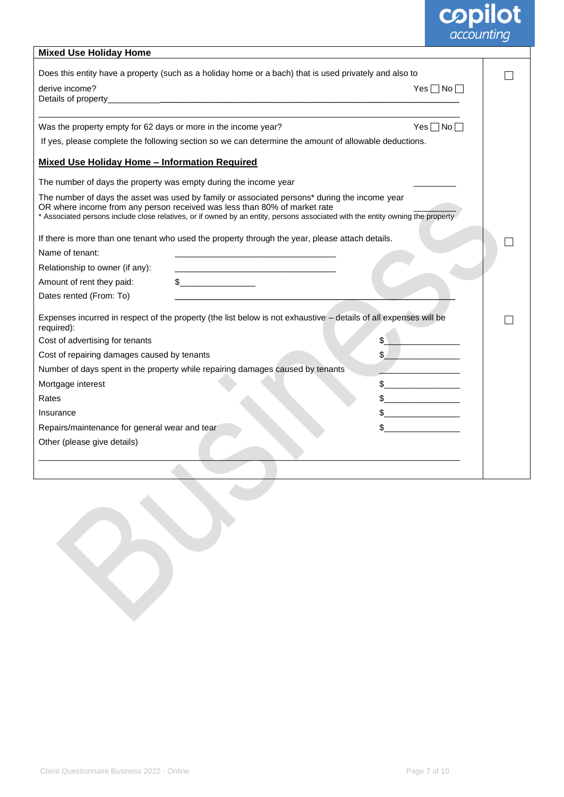# **copilot**<br>*accounting*

| <b>Mixed Use Holiday Home</b>                                                                                                                                                                                                                                                                                |                      |  |
|--------------------------------------------------------------------------------------------------------------------------------------------------------------------------------------------------------------------------------------------------------------------------------------------------------------|----------------------|--|
| Does this entity have a property (such as a holiday home or a bach) that is used privately and also to                                                                                                                                                                                                       |                      |  |
| derive income?                                                                                                                                                                                                                                                                                               | Yes $\Box$ No $\Box$ |  |
| Details of property_                                                                                                                                                                                                                                                                                         |                      |  |
|                                                                                                                                                                                                                                                                                                              |                      |  |
| Was the property empty for 62 days or more in the income year?                                                                                                                                                                                                                                               | Yes $\Box$ No $\Box$ |  |
| If yes, please complete the following section so we can determine the amount of allowable deductions.                                                                                                                                                                                                        |                      |  |
| <b>Mixed Use Holiday Home - Information Required</b>                                                                                                                                                                                                                                                         |                      |  |
| The number of days the property was empty during the income year                                                                                                                                                                                                                                             |                      |  |
| The number of days the asset was used by family or associated persons* during the income year<br>OR where income from any person received was less than 80% of market rate<br>* Associated persons include close relatives, or if owned by an entity, persons associated with the entity owning the property |                      |  |
| If there is more than one tenant who used the property through the year, please attach details.                                                                                                                                                                                                              |                      |  |
| Name of tenant:                                                                                                                                                                                                                                                                                              |                      |  |
| Relationship to owner (if any):<br><u> 2000 - Jan James James James James James James James James James James James James James James James James Ja</u>                                                                                                                                                     |                      |  |
| $\frac{1}{2}$<br>Amount of rent they paid:                                                                                                                                                                                                                                                                   |                      |  |
| Dates rented (From: To)                                                                                                                                                                                                                                                                                      |                      |  |
| Expenses incurred in respect of the property (the list below is not exhaustive - details of all expenses will be<br>required):                                                                                                                                                                               |                      |  |
| Cost of advertising for tenants                                                                                                                                                                                                                                                                              |                      |  |
| Cost of repairing damages caused by tenants                                                                                                                                                                                                                                                                  |                      |  |
| Number of days spent in the property while repairing damages caused by tenants                                                                                                                                                                                                                               |                      |  |
| Mortgage interest                                                                                                                                                                                                                                                                                            |                      |  |
| Rates                                                                                                                                                                                                                                                                                                        |                      |  |
| Insurance                                                                                                                                                                                                                                                                                                    |                      |  |
| Repairs/maintenance for general wear and tear                                                                                                                                                                                                                                                                |                      |  |
| Other (please give details)                                                                                                                                                                                                                                                                                  |                      |  |
|                                                                                                                                                                                                                                                                                                              |                      |  |
|                                                                                                                                                                                                                                                                                                              |                      |  |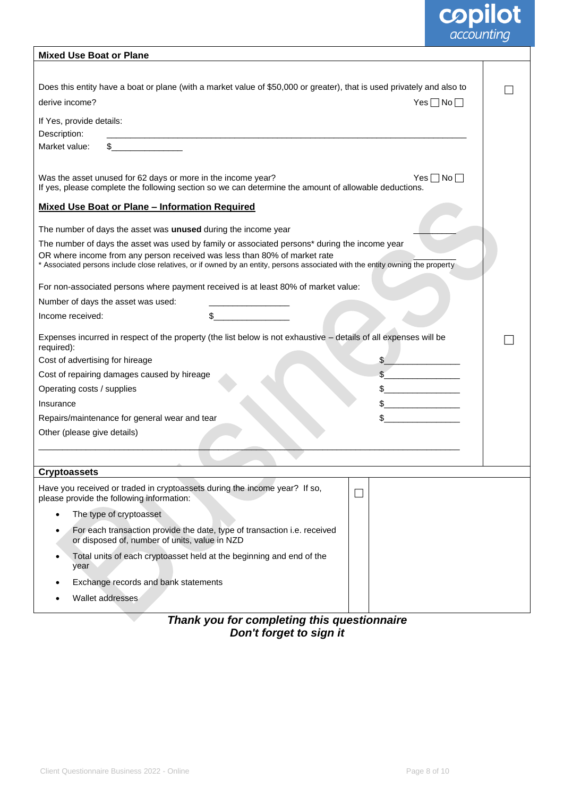# **copilot**<br>accounting

| <b>Mixed Use Boat or Plane</b>                                                                                                                                                                              |  |
|-------------------------------------------------------------------------------------------------------------------------------------------------------------------------------------------------------------|--|
|                                                                                                                                                                                                             |  |
| Does this entity have a boat or plane (with a market value of \$50,000 or greater), that is used privately and also to                                                                                      |  |
| derive income?<br>$Yes \Box No \Box$                                                                                                                                                                        |  |
| If Yes, provide details:                                                                                                                                                                                    |  |
| Description:                                                                                                                                                                                                |  |
| Market value:                                                                                                                                                                                               |  |
| Was the asset unused for 62 days or more in the income year?<br>$Yes \Box No \Box$                                                                                                                          |  |
| If yes, please complete the following section so we can determine the amount of allowable deductions.                                                                                                       |  |
| <b>Mixed Use Boat or Plane - Information Required</b>                                                                                                                                                       |  |
|                                                                                                                                                                                                             |  |
| The number of days the asset was unused during the income year                                                                                                                                              |  |
| The number of days the asset was used by family or associated persons* during the income year                                                                                                               |  |
| OR where income from any person received was less than 80% of market rate<br>* Associated persons include close relatives, or if owned by an entity, persons associated with the entity owning the property |  |
| For non-associated persons where payment received is at least 80% of market value:                                                                                                                          |  |
| Number of days the asset was used:                                                                                                                                                                          |  |
| Income received:                                                                                                                                                                                            |  |
| Expenses incurred in respect of the property (the list below is not exhaustive - details of all expenses will be<br>required):                                                                              |  |
| Cost of advertising for hireage                                                                                                                                                                             |  |
| Cost of repairing damages caused by hireage                                                                                                                                                                 |  |
| Operating costs / supplies                                                                                                                                                                                  |  |
| Insurance                                                                                                                                                                                                   |  |
| Repairs/maintenance for general wear and tear                                                                                                                                                               |  |
| Other (please give details)                                                                                                                                                                                 |  |
|                                                                                                                                                                                                             |  |
|                                                                                                                                                                                                             |  |
| <b>Cryptoassets</b>                                                                                                                                                                                         |  |
| Have you received or traded in cryptoassets during the income year? If so,<br>please provide the following information:                                                                                     |  |
| The type of cryptoasset                                                                                                                                                                                     |  |
| For each transaction provide the date, type of transaction i.e. received<br>or disposed of, number of units, value in NZD                                                                                   |  |
| Total units of each cryptoasset held at the beginning and end of the<br>year                                                                                                                                |  |
| Exchange records and bank statements                                                                                                                                                                        |  |
| Wallet addresses                                                                                                                                                                                            |  |
|                                                                                                                                                                                                             |  |

#### *Thank you for completing this questionnaire Don't forget to sign it*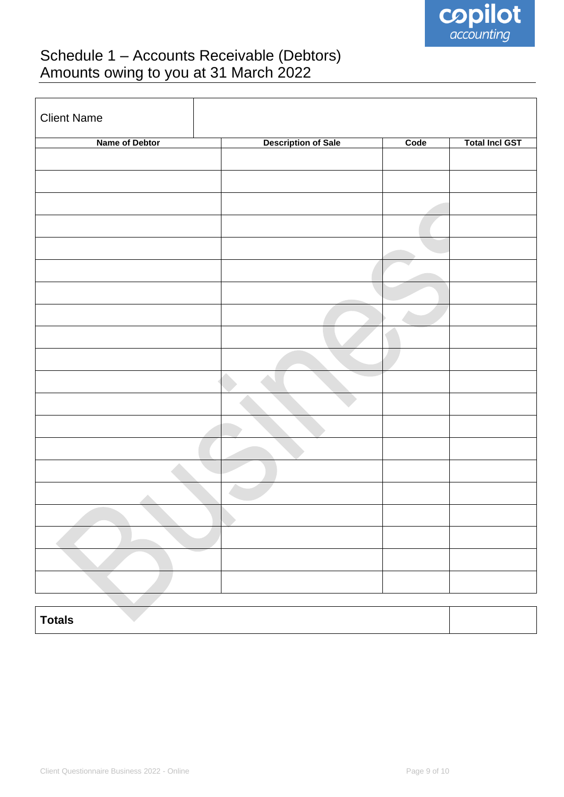

# Schedule 1 – Accounts Receivable (Debtors) Amounts owing to you at 31 March 2022

| <b>Client Name</b>              |                            |      |                       |
|---------------------------------|----------------------------|------|-----------------------|
| Name of Debtor                  | <b>Description of Sale</b> | Code | <b>Total Incl GST</b> |
|                                 |                            |      |                       |
|                                 |                            |      |                       |
|                                 |                            |      |                       |
|                                 |                            |      |                       |
|                                 |                            |      |                       |
|                                 |                            |      |                       |
|                                 |                            |      |                       |
|                                 |                            |      |                       |
|                                 |                            |      |                       |
|                                 |                            |      |                       |
|                                 |                            |      |                       |
|                                 |                            |      |                       |
|                                 |                            |      |                       |
|                                 |                            |      |                       |
|                                 |                            |      |                       |
|                                 |                            |      |                       |
|                                 |                            |      |                       |
|                                 |                            |      |                       |
|                                 |                            |      |                       |
|                                 |                            |      |                       |
|                                 |                            |      |                       |
|                                 |                            |      |                       |
|                                 |                            |      |                       |
|                                 |                            |      |                       |
|                                 |                            |      |                       |
|                                 |                            |      |                       |
| $\overline{\phantom{a}}$ Totals |                            |      |                       |

### **Totals**